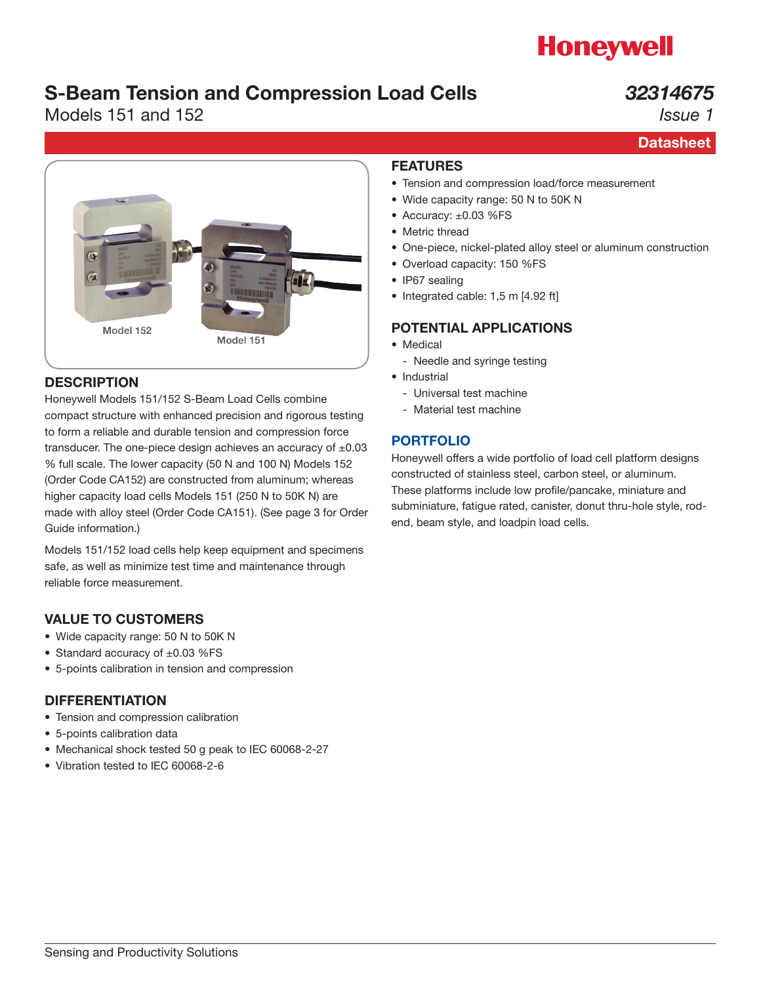# **Honeywell**

## S-Beam Tension and Compression Load Cells

## Models 151 and 152

## *32314675*

*Issue 1*

**Datasheet** 



## **DESCRIPTION**

Honeywell Models 151/152 S-Beam Load Cells combine compact structure with enhanced precision and rigorous testing to form a reliable and durable tension and compression force transducer. The one-piece design achieves an accuracy of  $\pm 0.03$ % full scale. The lower capacity (50 N and 100 N) Models 152 (Order Code CA152) are constructed from aluminum; whereas higher capacity load cells Models 151 (250 N to 50K N) are made with alloy steel (Order Code CA151). (See page 3 for Order Guide information.)

Models 151/152 load cells help keep equipment and specimens safe, as well as minimize test time and maintenance through reliable force measurement.

## VALUE TO CUSTOMERS

- Wide capacity range: 50 N to 50K N
- Standard accuracy of ±0.03 %FS
- 5-points calibration in tension and compression

## DIFFERENTIATION

- Tension and compression calibration
- 5-points calibration data
- Mechanical shock tested 50 g peak to IEC 60068-2-27
- Vibration tested to IEC 60068-2-6

### FEATURES

- Tension and compression load/force measurement
- Wide capacity range: 50 N to 50K N
- Accuracy: ±0.03 %FS
- Metric thread
- One-piece, nickel-plated alloy steel or aluminum construction
- Overload capacity: 150 %FS
- IP67 sealing
- Integrated cable: 1,5 m [4.92 ft]

## POTENTIAL APPLICATIONS

- Medical
	- Needle and syringe testing
- Industrial
	- Universal test machine
	- Material test machine

## [PORTFOLIO](https://measurementsensors.honeywell.com/Pages/category.aspx?category=PRODUCTTYPES-LOAD)

Honeywell offers a wide portfolio of load cell platform designs constructed of stainless steel, carbon steel, or aluminum. These platforms include low profile/pancake, miniature and subminiature, fatigue rated, canister, donut thru-hole style, rodend, beam style, and loadpin load cells.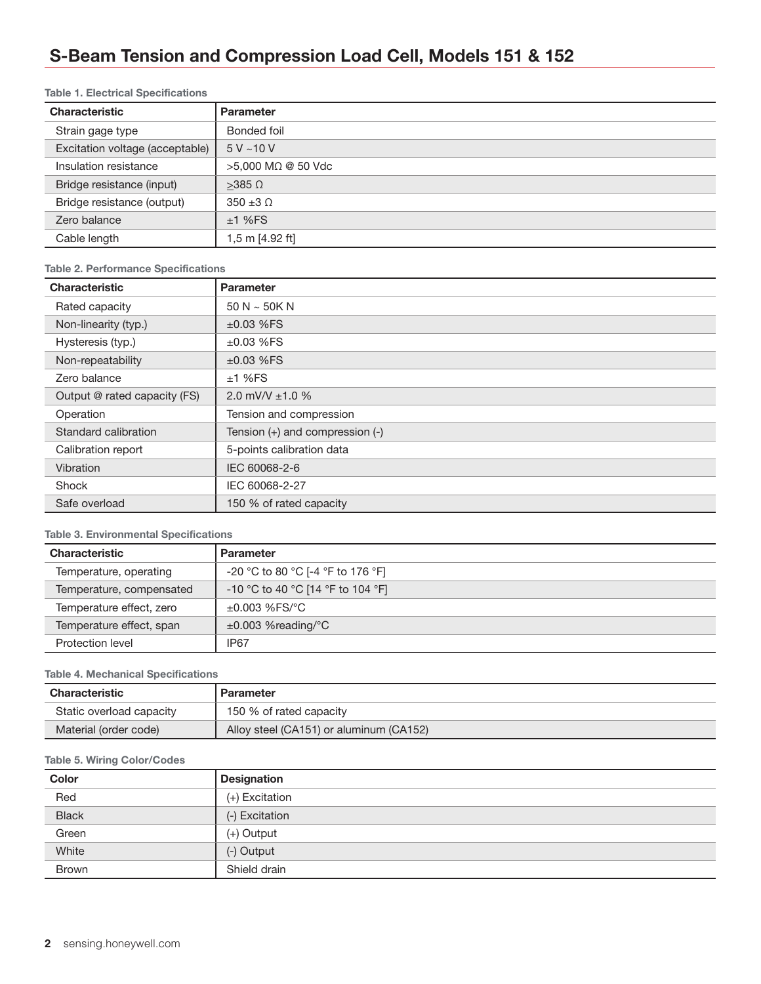## S-Beam Tension and Compression Load Cell, Models 151 & 152

#### Table 1. Electrical Specifications

| <b>Characteristic</b>           | <b>Parameter</b>   |
|---------------------------------|--------------------|
| Strain gage type                | Bonded foil        |
| Excitation voltage (acceptable) | $5V - 10V$         |
| Insulation resistance           | >5,000 MΩ @ 50 Vdc |
| Bridge resistance (input)       | $>385$ $\Omega$    |
| Bridge resistance (output)      | $350 \pm 3 \Omega$ |
| Zero balance                    | ±1%FS              |
| Cable length                    | 1,5 m [4.92 ft]    |

#### Table 2. Performance Specifications

| <b>Characteristic</b>        | <b>Parameter</b>                    |  |  |  |
|------------------------------|-------------------------------------|--|--|--|
| Rated capacity               | $50 N \sim 50 K N$                  |  |  |  |
| Non-linearity (typ.)         | $±0.03$ %FS                         |  |  |  |
| Hysteresis (typ.)            | $±0.03$ %FS                         |  |  |  |
| Non-repeatability            | $±0.03$ %FS                         |  |  |  |
| Zero balance                 | ±1%FS                               |  |  |  |
| Output @ rated capacity (FS) | 2.0 mV/V $\pm$ 1.0 %                |  |  |  |
| Operation                    | Tension and compression             |  |  |  |
| Standard calibration         | Tension $(+)$ and compression $(-)$ |  |  |  |
| Calibration report           | 5-points calibration data           |  |  |  |
| Vibration                    | IEC 60068-2-6                       |  |  |  |
| Shock                        | IEC 60068-2-27                      |  |  |  |
| Safe overload                | 150 % of rated capacity             |  |  |  |

#### Table 3. Environmental Specifications

| <b>Characteristic</b>    | <b>Parameter</b>                  |  |  |  |  |
|--------------------------|-----------------------------------|--|--|--|--|
| Temperature, operating   | -20 °C to 80 °C [-4 °F to 176 °F] |  |  |  |  |
| Temperature, compensated | -10 °C to 40 °C [14 °F to 104 °F] |  |  |  |  |
| Temperature effect, zero | $\pm 0.003$ %FS/°C                |  |  |  |  |
| Temperature effect, span | $\pm 0.003$ %reading/°C           |  |  |  |  |
| Protection level         | IP67                              |  |  |  |  |

#### Table 4. Mechanical Specifications

| Characteristic           | <b>Parameter</b>                        |  |  |  |
|--------------------------|-----------------------------------------|--|--|--|
| Static overload capacity | 150 % of rated capacity                 |  |  |  |
| Material (order code)    | Alloy steel (CA151) or aluminum (CA152) |  |  |  |

#### Table 5. Wiring Color/Codes

| Color        | <b>Designation</b> |
|--------------|--------------------|
| Red          | (+) Excitation     |
| <b>Black</b> | (-) Excitation     |
| Green        | $(+)$ Output       |
| White        | (-) Output         |
| <b>Brown</b> | Shield drain       |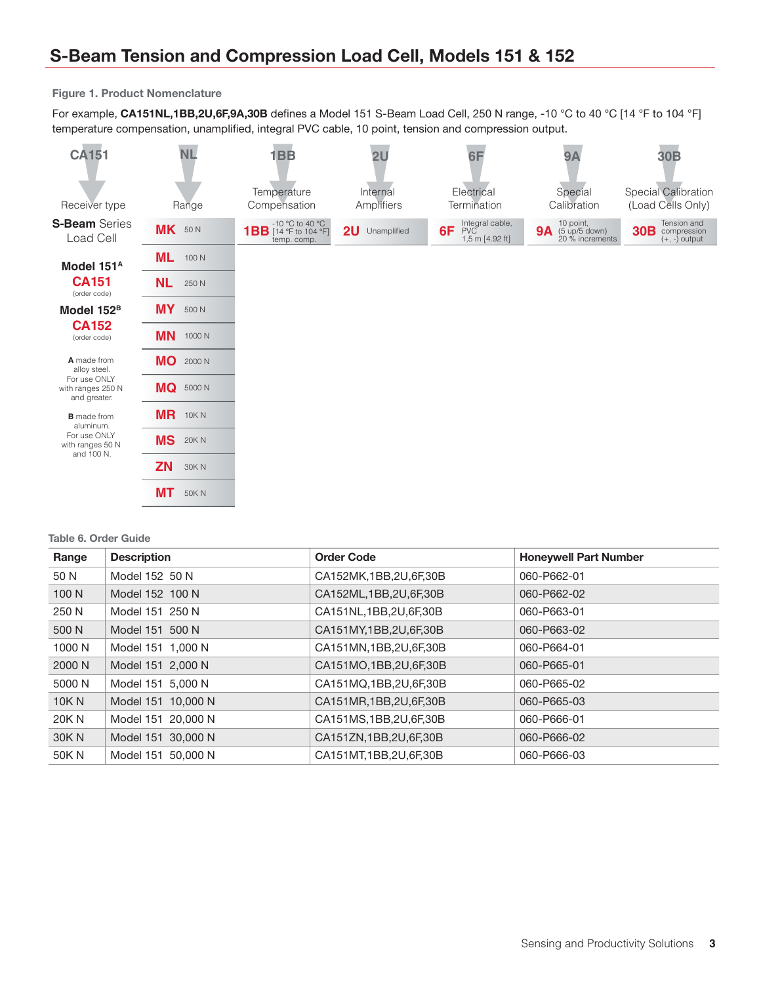#### Figure 1. Product Nomenclature

For example, CA151NL,1BB,2U,6F,9A,30B defines a Model 151 S-Beam Load Cell, 250 N range, -10 °C to 40 °C [14 °F to 104 °F] temperature compensation, unamplified, integral PVC cable, 10 point, tension and compression output.

| <b>CA151</b>                                      | <b>NL</b>                | 1 <sub>BB</sub>                                                | 2U                     | 6F                                              | <b>9A</b>                                                         | 30 <sub>B</sub>                                                  |
|---------------------------------------------------|--------------------------|----------------------------------------------------------------|------------------------|-------------------------------------------------|-------------------------------------------------------------------|------------------------------------------------------------------|
| Receiver type                                     | Range                    | Temperature<br>Compensation                                    | Internal<br>Amplifiers | Electrical<br>Termination                       | Special<br>Calibration                                            | Special Calibration<br>(Load Cells Only)                         |
| <b>S-Beam</b> Series<br>Load Cell                 | MK 50N                   | -10 °C to 40 °C<br><b>1BB</b> [14 °F to 104 °F]<br>temp. comp. | 2U Unamplified         | Integral cable,<br>PVC<br>6F<br>1,5 m [4.92 ft] | 10 point,<br><b>9A</b> $(5 \text{ up/5 down})$<br>20 % increments | Tension and<br>30 <sub>B</sub><br>compression<br>$(+, -)$ output |
| Model 151 <sup>A</sup>                            | <b>ML</b><br>100 N       |                                                                |                        |                                                 |                                                                   |                                                                  |
| <b>CA151</b><br>(order code)                      | <b>NL</b><br>250 N       |                                                                |                        |                                                 |                                                                   |                                                                  |
| Model 152 <sup>B</sup>                            | <b>MY</b><br>500 N       |                                                                |                        |                                                 |                                                                   |                                                                  |
| <b>CA152</b><br>(order code)                      | <b>MN</b><br>1000 N      |                                                                |                        |                                                 |                                                                   |                                                                  |
| A made from<br>alloy steel.                       | <b>MO</b><br>2000 N      |                                                                |                        |                                                 |                                                                   |                                                                  |
| For use ONLY<br>with ranges 250 N<br>and greater. | <b>MQ</b> 5000 N         |                                                                |                        |                                                 |                                                                   |                                                                  |
| <b>B</b> made from<br>aluminum.                   | <b>MR</b><br>10K N       |                                                                |                        |                                                 |                                                                   |                                                                  |
| For use ONLY<br>with ranges 50 N<br>and 100 N.    | <b>MS</b><br>20K N       |                                                                |                        |                                                 |                                                                   |                                                                  |
|                                                   | <b>ZN</b><br><b>30KN</b> |                                                                |                        |                                                 |                                                                   |                                                                  |
|                                                   | <b>MT</b><br><b>50KN</b> |                                                                |                        |                                                 |                                                                   |                                                                  |

#### Table 6. Order Guide

| Range  | <b>Description</b> | <b>Order Code</b>         | <b>Honeywell Part Number</b> |
|--------|--------------------|---------------------------|------------------------------|
| 50 N   | Model 152 50 N     | CA152MK, 1BB, 2U, 6F, 30B | 060-P662-01                  |
| 100 N  | Model 152 100 N    | CA152ML, 1BB, 2U, 6F, 30B | 060-P662-02                  |
| 250 N  | Model 151 250 N    | CA151NL, 1BB, 2U, 6F, 30B | 060-P663-01                  |
| 500 N  | Model 151 500 N    | CA151MY, 1BB, 2U, 6F, 30B | 060-P663-02                  |
| 1000 N | Model 151 1,000 N  | CA151MN, 1BB, 2U, 6F, 30B | 060-P664-01                  |
| 2000 N | Model 151 2,000 N  | CA151MO, 1BB, 2U, 6F, 30B | 060-P665-01                  |
| 5000 N | Model 151 5,000 N  | CA151MQ, 1BB, 2U, 6F, 30B | 060-P665-02                  |
| 10K N  | Model 151 10,000 N | CA151MR, 1BB, 2U, 6F, 30B | 060-P665-03                  |
| 20K N  | Model 151 20,000 N | CA151MS, 1BB, 2U, 6F, 30B | 060-P666-01                  |
| 30K N  | Model 151 30,000 N | CA151ZN, 1BB, 2U, 6F, 30B | 060-P666-02                  |
| 50K N  | Model 151 50,000 N | CA151MT, 1BB, 2U, 6F, 30B | 060-P666-03                  |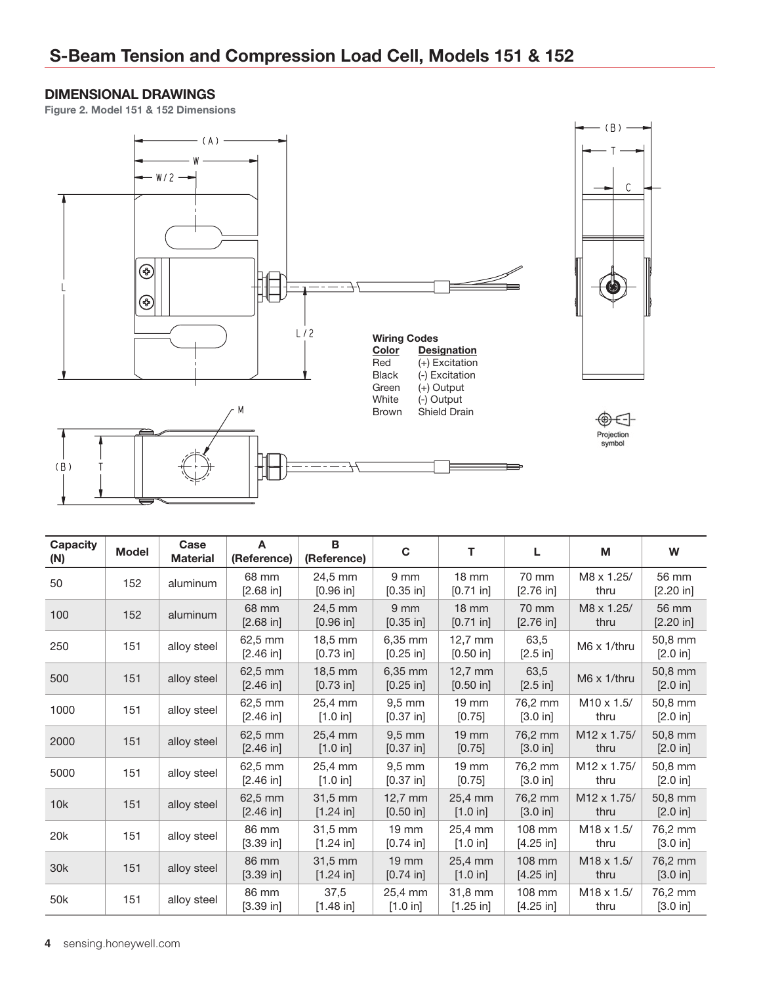### DIMENSIONAL DRAWINGS

Figure 2. Model 151 & 152 Dimensions



 $\mathsf{C}$ 

| <b>Capacity</b><br>(N) | <b>Model</b> | Case<br><b>Material</b> | A<br>(Reference)      | B<br>(Reference)                 | C                               | т                              | L                     | М                               | W                   |
|------------------------|--------------|-------------------------|-----------------------|----------------------------------|---------------------------------|--------------------------------|-----------------------|---------------------------------|---------------------|
| 50                     | 152          | aluminum                | 68 mm<br>$[2.68]$ in] | 24,5 mm<br>$[0.96]$ in           | 9 <sub>mm</sub><br>$[0.35$ in]  | $18 \text{ mm}$<br>$[0.71$ in] | 70 mm<br>[2.76 in]    | M8 x 1.25/<br>thru              | 56 mm<br>[2.20 in]  |
| 100                    | 152          | aluminum                | 68 mm<br>$[2.68]$ in] | 24.5 mm<br>[0.96 in]             | 9 <sub>mm</sub><br>$[0.35$ in]  | $18 \text{ mm}$<br>$[0.71$ in] | 70 mm<br>[2.76 in]    | M8 x 1.25/<br>thru              | 56 mm<br>[2.20 in]  |
| 250                    | 151          | alloy steel             | 62,5 mm<br>[2.46 in]  | 18.5 mm<br>[0.73 in]             | 6,35 mm<br>$[0.25$ in]          | $12.7$ mm<br>[0.50 in]         | 63,5<br>[2.5 in]      | M6 x 1/thru                     | 50,8 mm<br>[2.0 in] |
| 500                    | 151          | alloy steel             | 62,5 mm<br>[2.46 in]  | 18,5 mm<br>$[0.73$ in]           | 6,35 mm<br>$[0.25$ in]          | $12,7$ mm<br>$[0.50$ in]       | 63,5<br>[2.5 in]      | $M6 \times 1$ /thru             | 50,8 mm<br>[2.0 in] |
| 1000                   | 151          | alloy steel             | 62,5 mm<br>[2.46 in]  | 25.4 mm<br>[1.0 in]              | $9.5 \text{ mm}$<br>$[0.37$ in] | $19 \text{ mm}$<br>[0.75]      | 76,2 mm<br>[3.0 in]   | $M10 \times 1.5/$<br>thru       | 50,8 mm<br>[2.0 in] |
| 2000                   | 151          | alloy steel             | 62,5 mm<br>[2.46 in]  | 25.4 mm<br>[1.0 in]              | $9,5$ mm<br>$[0.37$ in]         | $19 \text{ mm}$<br>$[0.75]$    | 76.2 mm<br>[3.0 in]   | M <sub>12</sub> x 1.75/<br>thru | 50.8 mm<br>[2.0 in] |
| 5000                   | 151          | alloy steel             | 62,5 mm<br>[2.46 in]  | 25.4 mm<br>[1.0 in]              | $9.5 \text{ mm}$<br>[0.37 in]   | $19 \text{ mm}$<br>[0.75]      | 76,2 mm<br>[3.0 in]   | M <sub>12</sub> x 1.75/<br>thru | 50,8 mm<br>[2.0 in] |
| 10k                    | 151          | alloy steel             | 62,5 mm<br>[2.46 in]  | $31,5 \text{ mm}$<br>$[1.24]$ in | $12,7$ mm<br>[0.50 in]          | 25,4 mm<br>[1.0 in]            | 76,2 mm<br>[3.0 in]   | M <sub>12</sub> x 1.75/<br>thru | 50,8 mm<br>[2.0 in] |
| 20 <sub>k</sub>        | 151          | alloy steel             | 86 mm<br>[3.39 in]    | 31,5 mm<br>[1.24 in]             | $19 \text{ mm}$<br>$[0.74]$ in] | 25,4 mm<br>[1.0 in]            | 108 mm<br>$[4.25$ in] | $M18 \times 1.5/$<br>thru       | 76,2 mm<br>[3.0 in] |
| 30k                    | 151          | alloy steel             | 86 mm<br>$[3.39]$ in] | 31,5 mm<br>[1.24 in]             | <b>19 mm</b><br>$[0.74$ in]     | 25,4 mm<br>[1.0 in]            | 108 mm<br>$[4.25$ in] | $M18 \times 1.5/$<br>thru       | 76,2 mm<br>[3.0 in] |
| 50k                    | 151          | alloy steel             | 86 mm<br>[3.39 in]    | 37,5<br>$[1.48$ in]              | 25,4 mm<br>[1.0 in]             | 31,8 mm<br>$[1.25$ in]         | 108 mm<br>$[4.25$ in] | $M18 \times 1.5/$<br>thru       | 76,2 mm<br>[3.0 in] |